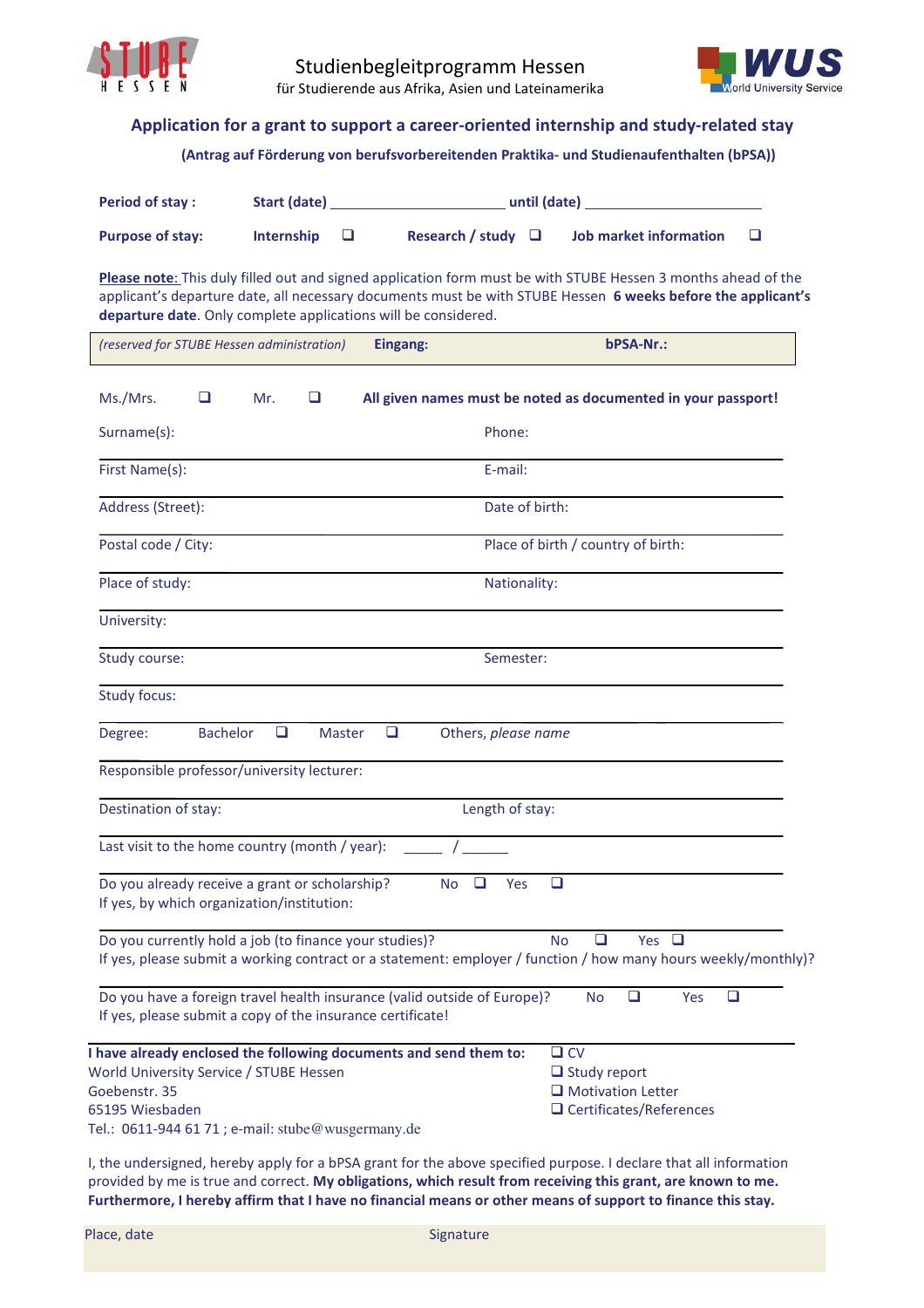



## **Application for a grant to support a career-oriented internship and study-related stay**

## **(Antrag auf Förderung von berufsvorbereitenden Praktika- und Studienaufenthalten (bPSA))**

| <b>Period of stay:</b>  | Start (date)      | until (date)                                      |  |
|-------------------------|-------------------|---------------------------------------------------|--|
| <b>Purpose of stay:</b> | Internship $\Box$ | Research / study $\Box$<br>Job market information |  |

**Please note**: This duly filled out and signed application form must be with STUBE Hessen 3 months ahead of the applicant's departure date, all necessary documents must be with STUBE Hessen **6 weeks before the applicant's departure date**. Only complete applications will be considered.

| (reserved for STUBE Hessen administration)                                                                                             | bPSA-Nr.:<br>Eingang:                                                                                                                               |
|----------------------------------------------------------------------------------------------------------------------------------------|-----------------------------------------------------------------------------------------------------------------------------------------------------|
| Ms./Mrs.<br>❏<br>Mr.<br>❏                                                                                                              | All given names must be noted as documented in your passport!                                                                                       |
| Surname(s):                                                                                                                            | Phone:                                                                                                                                              |
| First Name(s):                                                                                                                         | E-mail:                                                                                                                                             |
| Address (Street):                                                                                                                      | Date of birth:                                                                                                                                      |
| Postal code / City:                                                                                                                    | Place of birth / country of birth:                                                                                                                  |
| Place of study:                                                                                                                        | Nationality:                                                                                                                                        |
| University:                                                                                                                            |                                                                                                                                                     |
| Study course:                                                                                                                          | Semester:                                                                                                                                           |
| <b>Study focus:</b>                                                                                                                    |                                                                                                                                                     |
| <b>Bachelor</b><br>$\Box$<br>Degree:<br><b>Master</b>                                                                                  | ❏<br>Others, please name                                                                                                                            |
| Responsible professor/university lecturer:                                                                                             |                                                                                                                                                     |
| Destination of stay:                                                                                                                   | Length of stay:                                                                                                                                     |
| Last visit to the home country (month / year):                                                                                         |                                                                                                                                                     |
| Do you already receive a grant or scholarship?<br>If yes, by which organization/institution:                                           | ❏<br>N <sub>o</sub><br>❏<br>Yes                                                                                                                     |
| Do you currently hold a job (to finance your studies)?                                                                                 | $\Box$<br>Yes $\Box$<br><b>No</b><br>If yes, please submit a working contract or a statement: employer / function / how many hours weekly/monthly)? |
| Do you have a foreign travel health insurance (valid outside of Europe)?<br>If yes, please submit a copy of the insurance certificate! | $\Box$<br>$\Box$<br><b>No</b><br>Yes                                                                                                                |
| I have already enclosed the following documents and send them to:                                                                      | $\square$ CV                                                                                                                                        |
| World University Service / STUBE Hessen<br>Goebenstr. 35                                                                               | $\Box$ Study report<br>$\Box$ Motivation Letter                                                                                                     |
| 65195 Wiesbaden                                                                                                                        | $\Box$ Certificates/References                                                                                                                      |
| Tel.: 0611-944 61 71 ; e-mail: stube@wusgermany.de                                                                                     |                                                                                                                                                     |

I, the undersigned, hereby apply for a bPSA grant for the above specified purpose. I declare that all information provided by me is true and correct. **My obligations, which result from receiving this grant, are known to me. Furthermore, I hereby affirm that I have no financial means or other means of support to finance this stay.**